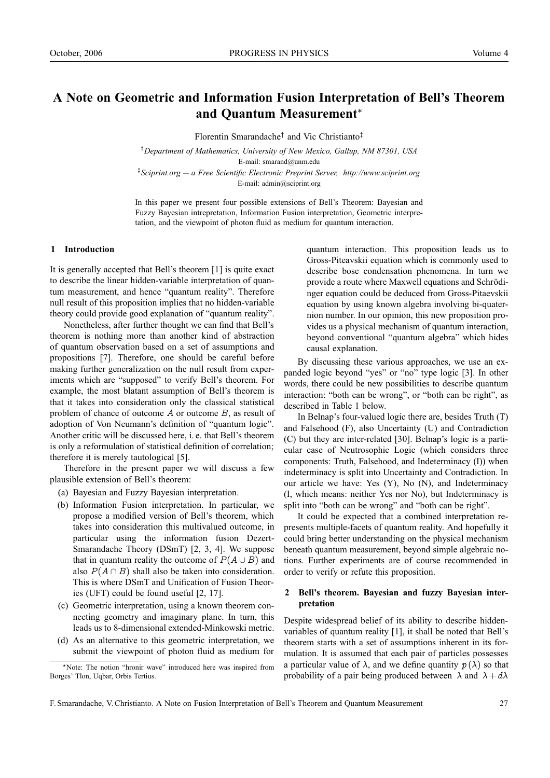# **A Note on Geometric and Information Fusion Interpretation of Bell's Theorem and Quantum Measurement**<sup>∗</sup>

Florentin Smarandache† and Vic Christianto‡

† *Department of Mathematics, University of New Mexico, Gallup, NM 87301, USA* E-mail: smarand@unm.edu

‡ *Sciprint.org — a Free Scientific Electronic Preprint Server, http://www.sciprint.org* E-mail: admin@sciprint.org

In this paper we present four possible extensions of Bell's Theorem: Bayesian and Fuzzy Bayesian intrepretation, Information Fusion interpretation, Geometric interpretation, and the viewpoint of photon fluid as medium for quantum interaction.

#### **1 Introduction**

It is generally accepted that Bell's theorem [1] is quite exact to describe the linear hidden-variable interpretation of quantum measurement, and hence "quantum reality". Therefore null result of this proposition implies that no hidden-variable theory could provide good explanation of "quantum reality".

Nonetheless, after further thought we can find that Bell's theorem is nothing more than another kind of abstraction of quantum observation based on a set of assumptions and propositions [7]. Therefore, one should be careful before making further generalization on the null result from experiments which are "supposed" to verify Bell's theorem. For example, the most blatant assumption of Bell's theorem is that it takes into consideration only the classical statistical problem of chance of outcome A or outcome B, as result of adoption of Von Neumann's definition of "quantum logic". Another critic will be discussed here, i. e. that Bell's theorem is only a reformulation of statistical definition of correlation; therefore it is merely tautological [5].

Therefore in the present paper we will discuss a few plausible extension of Bell's theorem:

- (a) Bayesian and Fuzzy Bayesian interpretation.
- (b) Information Fusion interpretation. In particular, we propose a modified version of Bell's theorem, which takes into consideration this multivalued outcome, in particular using the information fusion Dezert-Smarandache Theory (DSmT) [2, 3, 4]. We suppose that in quantum reality the outcome of  $P(A \cup B)$  and also  $P(A \cap B)$  shall also be taken into consideration. This is where DSmT and Unification of Fusion Theories (UFT) could be found useful [2, 17].
- (c) Geometric interpretation, using a known theorem connecting geometry and imaginary plane. In turn, this leads us to 8-dimensional extended-Minkowski metric.
- (d) As an alternative to this geometric interpretation, we submit the viewpoint of photon fluid as medium for

quantum interaction. This proposition leads us to Gross-Piteavskii equation which is commonly used to describe bose condensation phenomena. In turn we provide a route where Maxwell equations and Schrödinger equation could be deduced from Gross-Pitaevskii equation by using known algebra involving bi-quaternion number. In our opinion, this new proposition provides us a physical mechanism of quantum interaction, beyond conventional "quantum algebra" which hides causal explanation.

By discussing these various approaches, we use an expanded logic beyond "yes" or "no" type logic [3]. In other words, there could be new possibilities to describe quantum interaction: "both can be wrong", or "both can be right", as described in Table 1 below.

In Belnap's four-valued logic there are, besides Truth (T) and Falsehood (F), also Uncertainty (U) and Contradiction (C) but they are inter-related [30]. Belnap's logic is a particular case of Neutrosophic Logic (which considers three components: Truth, Falsehood, and Indeterminacy (I)) when indeterminacy is split into Uncertainty and Contradiction. In our article we have: Yes (Y), No (N), and Indeterminacy (I, which means: neither Yes nor No), but Indeterminacy is split into "both can be wrong" and "both can be right".

It could be expected that a combined interpretation represents multiple-facets of quantum reality. And hopefully it could bring better understanding on the physical mechanism beneath quantum measurement, beyond simple algebraic notions. Further experiments are of course recommended in order to verify or refute this proposition.

## **2 Bell's theorem. Bayesian and fuzzy Bayesian interpretation**

Despite widespread belief of its ability to describe hiddenvariables of quantum reality [1], it shall be noted that Bell's theorem starts with a set of assumptions inherent in its formulation. It is assumed that each pair of particles possesses a particular value of  $\lambda$ , and we define quantity  $p(\lambda)$  so that probability of a pair being produced between  $\lambda$  and  $\lambda + d\lambda$ 

F. Smarandache, V. Christianto. A Note on Fusion Interpretation of Bell's Theorem and Quantum Measurement 27

<sup>∗</sup>Note: The notion "hronir wave" introduced here was inspired from Borges' Tlon, Uqbar, Orbis Tertius.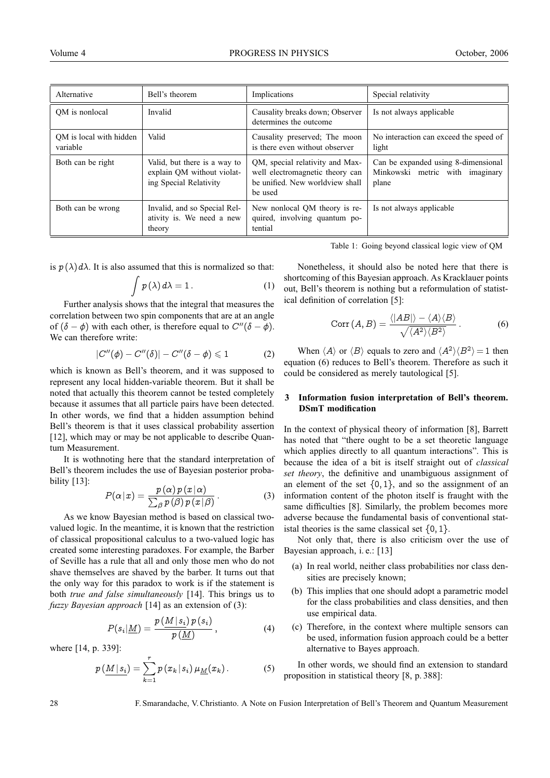| Alternative                         | Bell's theorem                                                                       | Implications                                                                                                     | Special relativity                                                              |
|-------------------------------------|--------------------------------------------------------------------------------------|------------------------------------------------------------------------------------------------------------------|---------------------------------------------------------------------------------|
| OM is nonlocal                      | Invalid                                                                              | Causality breaks down; Observer<br>determines the outcome                                                        | Is not always applicable                                                        |
| OM is local with hidden<br>variable | Valid                                                                                | Causality preserved; The moon<br>is there even without observer                                                  | No interaction can exceed the speed of<br>light                                 |
| Both can be right                   | Valid, but there is a way to<br>explain QM without violat-<br>ing Special Relativity | QM, special relativity and Max-<br>well electromagnetic theory can<br>be unified. New worldview shall<br>be used | Can be expanded using 8-dimensional<br>Minkowski metric with imaginary<br>plane |
| Both can be wrong                   | Invalid, and so Special Rel-<br>ativity is. We need a new<br>theory                  | New nonlocal QM theory is re-<br>quired, involving quantum po-<br>tential                                        | Is not always applicable                                                        |

is  $p(\lambda) d\lambda$ . It is also assumed that this is normalized so that:

$$
\int p(\lambda) d\lambda = 1.
$$
 (1)

Further analysis shows that the integral that measures the correlation between two spin components that are at an angle of  $(\delta - \phi)$  with each other, is therefore equal to  $C''(\delta - \phi)$ . We can therefore write:

$$
|C''(\phi) - C''(\delta)| - C''(\delta - \phi) \leq 1 \tag{2}
$$

which is known as Bell's theorem, and it was supposed to represent any local hidden-variable theorem. But it shall be noted that actually this theorem cannot be tested completely because it assumes that all particle pairs have been detected. In other words, we find that a hidden assumption behind Bell's theorem is that it uses classical probability assertion [12], which may or may be not applicable to describe Quantum Measurement.

It is wothnoting here that the standard interpretation of Bell's theorem includes the use of Bayesian posterior probability [13]:

$$
P(\alpha | x) = \frac{p(\alpha) p(x | \alpha)}{\sum_{\beta} p(\beta) p(x | \beta)}.
$$
 (3)

As we know Bayesian method is based on classical twovalued logic. In the meantime, it is known that the restriction of classical propositional calculus to a two-valued logic has created some interesting paradoxes. For example, the Barber of Seville has a rule that all and only those men who do not shave themselves are shaved by the barber. It turns out that the only way for this paradox to work is if the statement is both *true and false simultaneously* [14]. This brings us to *fuzzy Bayesian approach* [14] as an extension of (3):

$$
P(s_i | \underline{M}) = \frac{p(M | s_i) p(s_i)}{p(M)}, \qquad (4)
$$

where [14, p. 339]:

$$
p(\underline{M}|s_i) = \sum_{k=1}^r p(x_k|s_i) \mu_{\underline{M}}(x_k).
$$
 (5)

Table 1: Going beyond classical logic view of QM

Nonetheless, it should also be noted here that there is shortcoming of this Bayesian approach. As Kracklauer points out, Bell's theorem is nothing but a reformulation of statistical definition of correlation [5]:

$$
Corr(A, B) = \frac{\langle |AB|\rangle - \langle A\rangle\langle B\rangle}{\sqrt{\langle A^2\rangle\langle B^2\rangle}}.
$$
 (6)

When  $\langle A \rangle$  or  $\langle B \rangle$  equals to zero and  $\langle A^2 \rangle \langle B^2 \rangle = 1$  then equation (6) reduces to Bell's theorem. Therefore as such it could be considered as merely tautological [5].

#### **3 Information fusion interpretation of Bell's theorem. DSmT modification**

In the context of physical theory of information [8], Barrett has noted that "there ought to be a set theoretic language which applies directly to all quantum interactions". This is because the idea of a bit is itself straight out of *classical set theory*, the definitive and unambiguous assignment of an element of the set  $\{0, 1\}$ , and so the assignment of an information content of the photon itself is fraught with the same difficulties [8]. Similarly, the problem becomes more adverse because the fundamental basis of conventional statistal theories is the same classical set  $\{0, 1\}$ .

Not only that, there is also criticism over the use of Bayesian approach, i. e.: [13]

- (a) In real world, neither class probabilities nor class densities are precisely known;
- (b) This implies that one should adopt a parametric model for the class probabilities and class densities, and then use empirical data.
- (c) Therefore, in the context where multiple sensors can be used, information fusion approach could be a better alternative to Bayes approach.

In other words, we should find an extension to standard proposition in statistical theory [8, p. 388]:

28 F. Smarandache, V. Christianto. A Note on Fusion Interpretation of Bell's Theorem and Quantum Measurement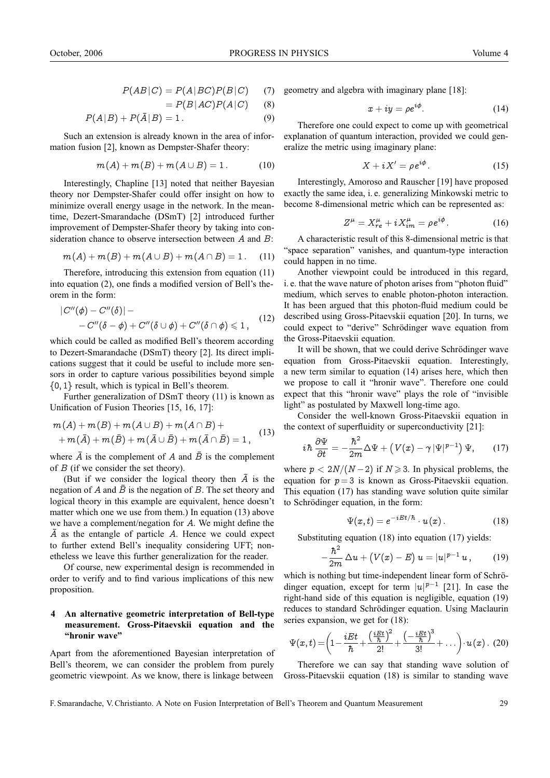$$
P(AB|C) = P(A|BC)P(B|C) \qquad (7)
$$

$$
= P(B|AC)P(A|C) \qquad (8)
$$

$$
P(A|B) + P(\bar{A}|B) = 1.
$$
 (9)

Such an extension is already known in the area of information fusion [2], known as Dempster-Shafer theory:

$$
m(A) + m(B) + m(A \cup B) = 1.
$$
 (10)

Interestingly, Chapline [13] noted that neither Bayesian theory nor Dempster-Shafer could offer insight on how to minimize overall energy usage in the network. In the meantime, Dezert-Smarandache (DSmT) [2] introduced further improvement of Dempster-Shafer theory by taking into consideration chance to observe intersection between A and B:

$$
m(A) + m(B) + m(A \cup B) + m(A \cap B) = 1. \tag{11}
$$

Therefore, introducing this extension from equation (11) into equation (2), one finds a modified version of Bell's theorem in the form:

$$
|C''(\phi) - C''(\delta)| -- C''(\delta - \phi) + C''(\delta \cup \phi) + C''(\delta \cap \phi) \leq 1,
$$
 (12)

which could be called as modified Bell's theorem according to Dezert-Smarandache (DSmT) theory [2]. Its direct implications suggest that it could be useful to include more sensors in order to capture various possibilities beyond simple {0, 1} result, which is typical in Bell's theorem.

Further generalization of DSmT theory (11) is known as Unification of Fusion Theories [15, 16, 17]:

$$
m(A) + m(B) + m(A \cup B) + m(A \cap B) ++ m(\bar{A}) + m(\bar{B}) + m(\bar{A} \cup \bar{B}) + m(\bar{A} \cap \bar{B}) = 1,
$$
 (13)

where  $\overline{A}$  is the complement of A and  $\overline{B}$  is the complement of  $B$  (if we consider the set theory).

(But if we consider the logical theory then  $\overline{A}$  is the negation of A and  $\bar{B}$  is the negation of B. The set theory and logical theory in this example are equivalent, hence doesn't matter which one we use from them.) In equation (13) above we have a complement/negation for A. We might define the  $\overline{A}$  as the entangle of particle A. Hence we could expect to further extend Bell's inequality considering UFT; nonetheless we leave this further generalization for the reader.

Of course, new experimental design is recommended in order to verify and to find various implications of this new proposition.

# **4 An alternative geometric interpretation of Bell-type measurement. Gross-Pitaevskii equation and the "hronir wave"**

Apart from the aforementioned Bayesian interpretation of Bell's theorem, we can consider the problem from purely geometric viewpoint. As we know, there is linkage between

geometry and algebra with imaginary plane [18]:

$$
x + iy = \rho e^{i\phi}.\tag{14}
$$

Therefore one could expect to come up with geometrical explanation of quantum interaction, provided we could generalize the metric using imaginary plane:

$$
X + iX' = \rho e^{i\phi}.
$$
 (15)

Interestingly, Amoroso and Rauscher [19] have proposed exactly the same idea, i. e. generalizing Minkowski metric to become 8-dimensional metric which can be represented as:

$$
Z^{\mu} = X_{re}^{\mu} + i X_{im}^{\mu} = \rho e^{i\phi}.
$$
 (16)

A characteristic result of this 8-dimensional metric is that "space separation" vanishes, and quantum-type interaction could happen in no time.

Another viewpoint could be introduced in this regard, i. e. that the wave nature of photon arises from "photon fluid" medium, which serves to enable photon-photon interaction. It has been argued that this photon-fluid medium could be described using Gross-Pitaevskii equation [20]. In turns, we could expect to "derive" Schrödinger wave equation from the Gross-Pitaevskii equation.

It will be shown, that we could derive Schrödinger wave equation from Gross-Pitaevskii equation. Interestingly, a new term similar to equation (14) arises here, which then we propose to call it "hronir wave". Therefore one could expect that this "hronir wave" plays the role of "invisible light" as postulated by Maxwell long-time ago.

Consider the well-known Gross-Pitaevskii equation in the context of superfluidity or superconductivity [21]:

$$
i\hbar \frac{\partial \Psi}{\partial t} = -\frac{\hbar^2}{2m} \Delta \Psi + \left(V(x) - \gamma |\Psi|^{p-1}\right) \Psi, \qquad (17)
$$

where  $p < 2N/(N-2)$  if  $N \ge 3$ . In physical problems, the equation for  $p = 3$  is known as Gross-Pitaevskii equation. This equation (17) has standing wave solution quite similar to Schrödinger equation, in the form:

$$
\Psi(x,t) = e^{-iEt/\hbar} \cdot u(x). \tag{18}
$$

Substituting equation (18) into equation (17) yields:

$$
-\frac{\hbar^2}{2m}\,\Delta u+\big(V(x)-E\big)\,u=|u|^{p-1}\,u\,,\qquad (19)
$$

which is nothing but time-independent linear form of Schrödinger equation, except for term  $|u|^{p-1}$  [21]. In case the right-hand side of this equation is negligible, equation (19) reduces to standard Schrödinger equation. Using Maclaurin series expansion, we get for (18):

$$
\Psi(x,t) = \left(1 - \frac{iEt}{\hbar} + \frac{\left(\frac{iEt}{\hbar}\right)^2}{2!} + \frac{\left(-\frac{iEt}{\hbar}\right)^3}{3!} + \dots\right) \cdot u(x) \quad (20)
$$

Therefore we can say that standing wave solution of Gross-Pitaevskii equation (18) is similar to standing wave

F. Smarandache, V. Christianto. A Note on Fusion Interpretation of Bell's Theorem and Quantum Measurement 29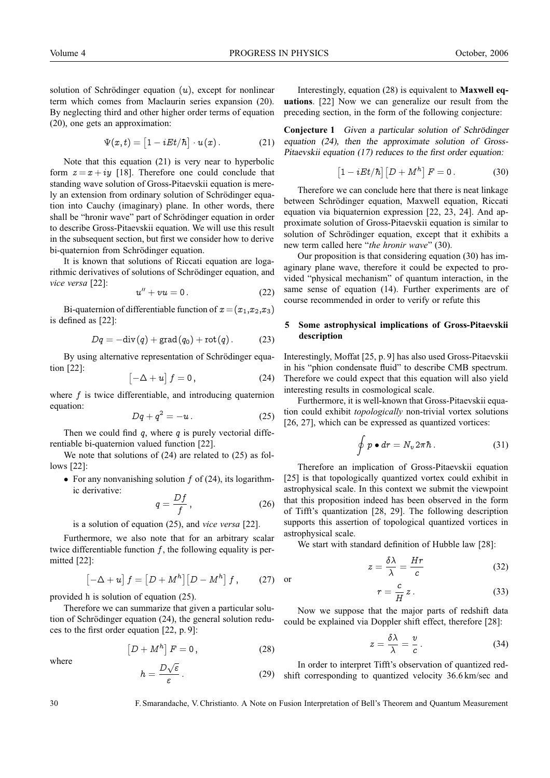solution of Schrödinger equation  $(u)$ , except for nonlinear term which comes from Maclaurin series expansion (20). By neglecting third and other higher order terms of equation (20), one gets an approximation:

$$
\Psi(x,t) = [1 - iEt/\hbar] \cdot u(x). \qquad (21)
$$

Note that this equation (21) is very near to hyperbolic form  $z = x + iy$  [18]. Therefore one could conclude that standing wave solution of Gross-Pitaevskii equation is merely an extension from ordinary solution of Schrödinger equation into Cauchy (imaginary) plane. In other words, there shall be "hronir wave" part of Schrödinger equation in order to describe Gross-Pitaevskii equation. We will use this result in the subsequent section, but first we consider how to derive bi-quaternion from Schrödinger equation.

It is known that solutions of Riccati equation are logarithmic derivatives of solutions of Schrödinger equation, and *vice versa* [22]:

$$
u'' + vu = 0. \tag{22}
$$

Bi-quaternion of differentiable function of  $x=(x_1,x_2,x_3)$ is defined as [22]:

$$
Dq = -\text{div}(q) + \text{grad}(q_0) + \text{rot}(q). \tag{23}
$$

By using alternative representation of Schrödinger equation [22]:

$$
\left[ -\Delta + u \right] f = 0, \qquad (24)
$$

where  $f$  is twice differentiable, and introducing quaternion equation:

$$
Dq + q^2 = -u \,. \tag{25}
$$

Then we could find  $q$ , where  $q$  is purely vectorial differentiable bi-quaternion valued function [22].

We note that solutions of (24) are related to (25) as follows [22]:

• For any nonvanishing solution  $f$  of (24), its logarithmic derivative:

$$
q = \frac{Df}{f},\tag{26}
$$

is a solution of equation (25), and *vice versa* [22].

Furthermore, we also note that for an arbitrary scalar twice differentiable function  $f$ , the following equality is permitted [22]:

$$
\left[-\Delta + u\right] f = \left[D + M^h\right] \left[D - M^h\right] f, \qquad (27)
$$

provided h is solution of equation (25).

Therefore we can summarize that given a particular solution of Schrödinger equation  $(24)$ , the general solution reduces to the first order equation [22, p. 9]:

$$
\left[D+M^h\right]F=0\,,\tag{28}
$$

$$
h = \frac{D\sqrt{\varepsilon}}{\varepsilon}.
$$
 (29)

Interestingly, equation (28) is equivalent to **Maxwell equations**. [22] Now we can generalize our result from the preceding section, in the form of the following conjecture:

**Conjecture 1** Given a particular solution of Schrödinger equation (24), then the approximate solution of Gross-Pitaevskii equation (17) reduces to the first order equation:

$$
\left[1-iEt/\hbar\right]\left[D+M^h\right]F=0.
$$
 (30)

Therefore we can conclude here that there is neat linkage between Schrödinger equation, Maxwell equation, Riccati equation via biquaternion expression [22, 23, 24]. And approximate solution of Gross-Pitaevskii equation is similar to solution of Schrödinger equation, except that it exhibits a new term called here "*the hronir wave*" (30).

Our proposition is that considering equation (30) has imaginary plane wave, therefore it could be expected to provided "physical mechanism" of quantum interaction, in the same sense of equation (14). Further experiments are of course recommended in order to verify or refute this

# **5 Some astrophysical implications of Gross-Pitaevskii description**

Interestingly, Moffat [25, p. 9] has also used Gross-Pitaevskii in his "phion condensate fluid" to describe CMB spectrum. Therefore we could expect that this equation will also yield interesting results in cosmological scale.

Furthermore, it is well-known that Gross-Pitaevskii equation could exhibit *topologically* non-trivial vortex solutions [26, 27], which can be expressed as quantized vortices:

$$
\oint p \bullet dr = N_v 2\pi \hbar. \tag{31}
$$

Therefore an implication of Gross-Pitaevskii equation [25] is that topologically quantized vortex could exhibit in astrophysical scale. In this context we submit the viewpoint that this proposition indeed has been observed in the form of Tifft's quantization [28, 29]. The following description supports this assertion of topological quantized vortices in astrophysical scale.

We start with standard definition of Hubble law [28]:

$$
z = \frac{\delta \lambda}{\lambda} = \frac{Hr}{c} \tag{32}
$$

$$
r = \frac{c}{H} z. \tag{33}
$$

Now we suppose that the major parts of redshift data could be explained via Doppler shift effect, therefore [28]:

$$
z = \frac{\delta \lambda}{\lambda} = \frac{v}{c} \,. \tag{34}
$$

In order to interpret Tifft's observation of quantized redshift corresponding to quantized velocity 36.6 km/sec and

where

30 F. Smarandache, V. Christianto. A Note on Fusion Interpretation of Bell's Theorem and Quantum Measurement

or